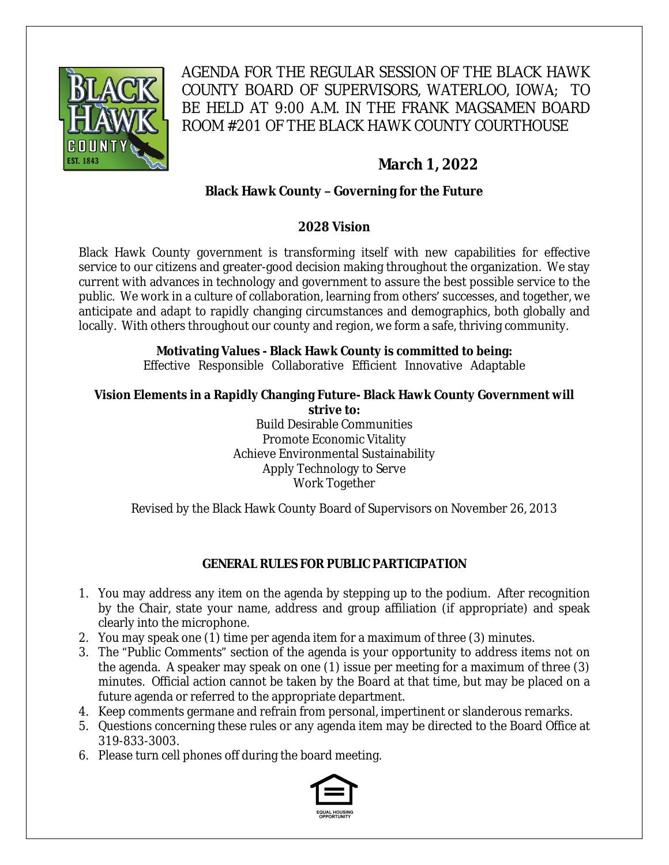

AGENDA FOR THE REGULAR SESSION OF THE BLACK HAWK COUNTY BOARD OF SUPERVISORS, WATERLOO, IOWA; TO BE HELD AT 9:00 A.M. IN THE FRANK MAGSAMEN BOARD ROOM #201 OF THE BLACK HAWK COUNTY COURTHOUSE

# **March 1, 2022**

# **Black Hawk County – Governing for the Future**

# **2028 Vision**

Black Hawk County government is transforming itself with new capabilities for effective service to our citizens and greater-good decision making throughout the organization. We stay current with advances in technology and government to assure the best possible service to the public. We work in a culture of collaboration, learning from others' successes, and together, we anticipate and adapt to rapidly changing circumstances and demographics, both globally and locally. With others throughout our county and region, we form a safe, thriving community.

# **Motivating Values - Black Hawk County is committed to being:**

Effective Responsible Collaborative Efficient Innovative Adaptable

#### **Vision Elements in a Rapidly Changing Future- Black Hawk County Government will strive to:**

Build Desirable Communities Promote Economic Vitality Achieve Environmental Sustainability Apply Technology to Serve Work Together

Revised by the Black Hawk County Board of Supervisors on November 26, 2013

# **GENERAL RULES FOR PUBLIC PARTICIPATION**

- 1. You may address any item on the agenda by stepping up to the podium. After recognition by the Chair, state your name, address and group affiliation (if appropriate) and speak clearly into the microphone.
- 2. You may speak one (1) time per agenda item for a maximum of three (3) minutes.
- 3. The "Public Comments" section of the agenda is your opportunity to address items not on the agenda. A speaker may speak on one (1) issue per meeting for a maximum of three (3) minutes. Official action cannot be taken by the Board at that time, but may be placed on a future agenda or referred to the appropriate department.
- 4. Keep comments germane and refrain from personal, impertinent or slanderous remarks.
- 5. Questions concerning these rules or any agenda item may be directed to the Board Office at 319-833-3003.
- 6. Please turn cell phones off during the board meeting.

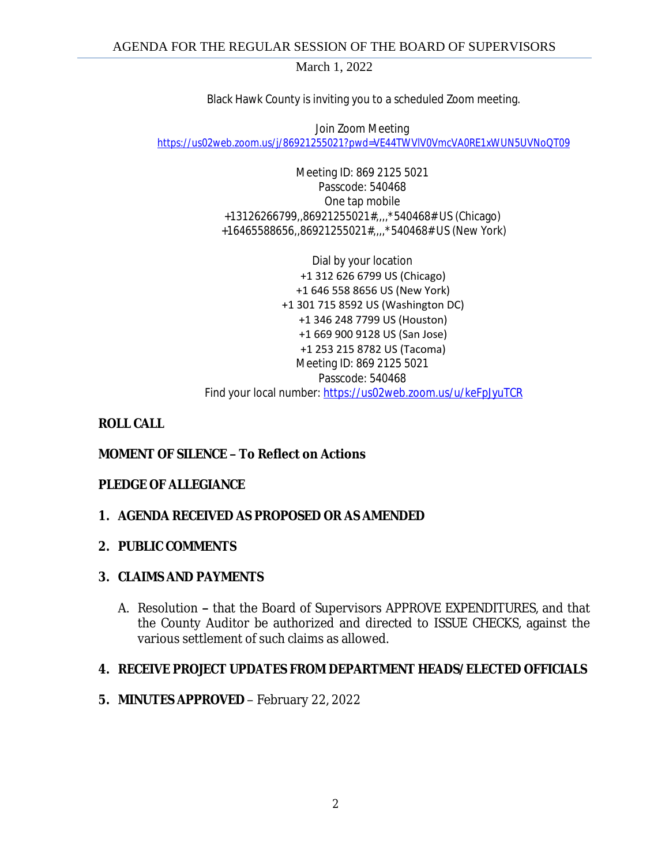March 1, 2022

Black Hawk County is inviting you to a scheduled Zoom meeting.

Join Zoom Meeting [https://us02web.zoom.us/j/86921255021?pwd=VE44TWVlV0VmcVA0RE1xWUN5UVNoQT09](https://gcc02.safelinks.protection.outlook.com/?url=https%3A%2F%2Fus02web.zoom.us%2Fj%2F86921255021%3Fpwd%3DVE44TWVlV0VmcVA0RE1xWUN5UVNoQT09&data=04%7C01%7Cllamb%40blackhawkcounty.iowa.gov%7Ca0777434559a469c0a8d08d9f7b70a20%7C9960f5b6faae4bb3a122c43aceeaa06d%7C0%7C0%7C637813187798060978%7CUnknown%7CTWFpbGZsb3d8eyJWIjoiMC4wLjAwMDAiLCJQIjoiV2luMzIiLCJBTiI6Ik1haWwiLCJXVCI6Mn0%3D%7C3000&sdata=NTpqIpMMXPuqfMj%2BXnx2ZP7J1O%2BYL82IPCK8cLj4xZ0%3D&reserved=0)

> Meeting ID: 869 2125 5021 Passcode: 540468 One tap mobile +13126266799,,86921255021#,,,,\*540468# US (Chicago) +16465588656,,86921255021#,,,,\*540468# US (New York)

Dial by your location +1 312 626 6799 US (Chicago) +1 646 558 8656 US (New York) +1 301 715 8592 US (Washington DC) +1 346 248 7799 US (Houston) +1 669 900 9128 US (San Jose) +1 253 215 8782 US (Tacoma) Meeting ID: 869 2125 5021 Passcode: 540468 Find your local number: [https://us02web.zoom.us/u/keFpJyuTCR](https://gcc02.safelinks.protection.outlook.com/?url=https%3A%2F%2Fus02web.zoom.us%2Fu%2FkeFpJyuTCR&data=04%7C01%7Cllamb%40blackhawkcounty.iowa.gov%7Ca0777434559a469c0a8d08d9f7b70a20%7C9960f5b6faae4bb3a122c43aceeaa06d%7C0%7C0%7C637813187798060978%7CUnknown%7CTWFpbGZsb3d8eyJWIjoiMC4wLjAwMDAiLCJQIjoiV2luMzIiLCJBTiI6Ik1haWwiLCJXVCI6Mn0%3D%7C3000&sdata=uN7MYG2%2BQUsExIe0jcmns2kwyyloplflBaSS9M%2F0lpo%3D&reserved=0)

## **ROLL CALL**

# **MOMENT OF SILENCE – To Reflect on Actions**

### **PLEDGE OF ALLEGIANCE**

### **1. AGENDA RECEIVED AS PROPOSED OR AS AMENDED**

### **2. PUBLIC COMMENTS**

### **3. CLAIMS AND PAYMENTS**

A. Resolution **–** that the Board of Supervisors APPROVE EXPENDITURES, and that the County Auditor be authorized and directed to ISSUE CHECKS, against the various settlement of such claims as allowed.

### **4. RECEIVE PROJECT UPDATES FROM DEPARTMENT HEADS/ELECTED OFFICIALS**

**5. MINUTES APPROVED** – February 22, 2022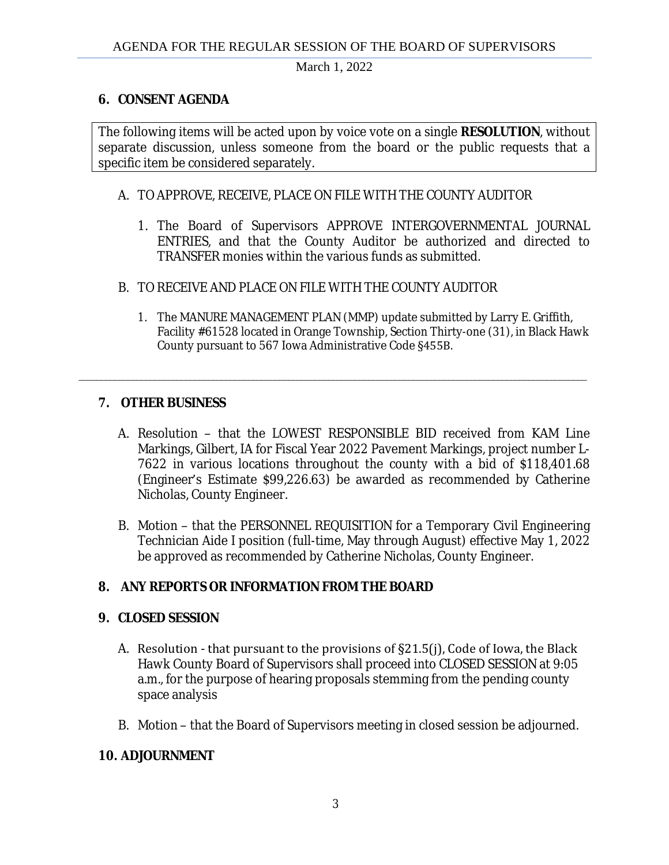March 1, 2022

## **6. CONSENT AGENDA**

The following items will be acted upon by voice vote on a single **RESOLUTION**, without separate discussion, unless someone from the board or the public requests that a specific item be considered separately.

### A. TO APPROVE, RECEIVE, PLACE ON FILE WITH THE COUNTY AUDITOR

- 1. The Board of Supervisors APPROVE INTERGOVERNMENTAL JOURNAL ENTRIES, and that the County Auditor be authorized and directed to TRANSFER monies within the various funds as submitted.
- B. TO RECEIVE AND PLACE ON FILE WITH THE COUNTY AUDITOR
	- 1. The MANURE MANAGEMENT PLAN (MMP) update submitted by Larry E. Griffith, Facility #61528 located in Orange Township, Section Thirty-one (31), in Black Hawk County pursuant to 567 Iowa Administrative Code §455B.

# **7. OTHER BUSINESS**

A. Resolution – that the LOWEST RESPONSIBLE BID received from KAM Line Markings, Gilbert, IA for Fiscal Year 2022 Pavement Markings, project number L-7622 in various locations throughout the county with a bid of \$118,401.68 (Engineer's Estimate \$99,226.63) be awarded as recommended by Catherine Nicholas, County Engineer.

\_\_\_\_\_\_\_\_\_\_\_\_\_\_\_\_\_\_\_\_\_\_\_\_\_\_\_\_\_\_\_\_\_\_\_\_\_\_\_\_\_\_\_\_\_\_\_\_\_\_\_\_\_\_\_\_\_\_\_\_\_\_\_\_\_\_\_\_\_\_\_\_\_\_\_\_\_\_\_\_\_\_\_\_\_\_\_\_\_\_\_\_\_\_\_\_\_\_\_\_\_\_\_\_\_\_\_\_\_\_\_\_\_\_

B. Motion – that the PERSONNEL REQUISITION for a Temporary Civil Engineering Technician Aide I position (full-time, May through August) effective May 1, 2022 be approved as recommended by Catherine Nicholas, County Engineer.

# **8. ANY REPORTS OR INFORMATION FROM THE BOARD**

# **9. CLOSED SESSION**

- A. Resolution that pursuant to the provisions of §21.5(j), Code of Iowa, the Black Hawk County Board of Supervisors shall proceed into CLOSED SESSION at 9:05 a.m., for the purpose of hearing proposals stemming from the pending county space analysis
- B. Motion that the Board of Supervisors meeting in closed session be adjourned.

# **10. ADJOURNMENT**